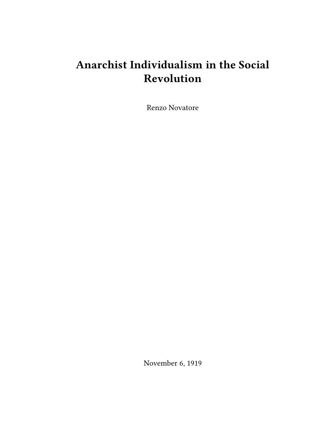# **Anarchist Individualism in the Social Revolution**

Renzo Novatore

November 6, 1919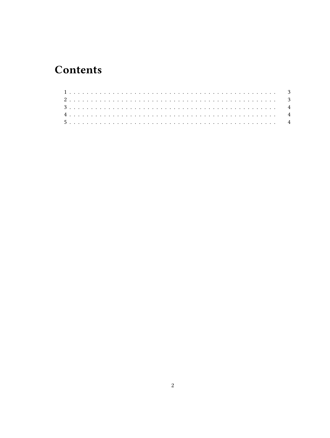## **Contents**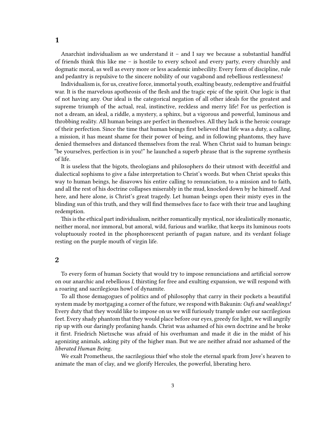<span id="page-2-0"></span>Anarchist individualism as we understand it – and I say we because a substantial handful of friends think this like me – is hostile to every school and every party, every churchly and dogmatic moral, as well as every more or less academic imbecility. Every form of discipline, rule and pedantry is repulsive to the sincere nobility of our vagabond and rebellious restlessness!

Individualism is, for us, creative force, immortal youth, exalting beauty, redemptive and fruitful war. It is the marvelous apotheosis of the flesh and the tragic epic of the spirit. Our logic is that of not having any. Our ideal is the categorical negation of all other ideals for the greatest and supreme triumph of the actual, real, instinctive, reckless and merry life! For us perfection is not a dream, an ideal, a riddle, a mystery, a sphinx, but a vigorous and powerful, luminous and throbbing reality. All human beings are perfect in themselves. All they lack is the heroic courage of their perfection. Since the time that human beings first believed that life was a duty, a calling, a mission, it has meant shame for their power of being, and in following phantoms, they have denied themselves and distanced themselves from the real. When Christ said to human beings: "be yourselves, perfection is in you!" he launched a superb phrase that is the supreme synthesis of life.

It is useless that the bigots, theologians and philosophers do their utmost with deceitful and dialectical sophisms to give a false interpretation to Christ's words. But when Christ speaks this way to human beings, he disavows his entire calling to renunciation, to a mission and to faith, and all the rest of his doctrine collapses miserably in the mud, knocked down by he himself. And here, and here alone, is Christ's great tragedy. Let human beings open their misty eyes in the blinding sun of this truth, and they will find themselves face to face with their true and laughing redemption.

This is the ethical part individualism, neither romantically mystical, nor idealistically monastic, neither moral, nor immoral, but amoral, wild, furious and warlike, that keeps its luminous roots voluptuously rooted in the phosphorescent perianth of pagan nature, and its verdant foliage resting on the purple mouth of virgin life.

#### <span id="page-2-1"></span>**2**

To every form of human Society that would try to impose renunciations and artificial sorrow on our anarchic and rebellious *I*, thirsting for free and exulting expansion, we will respond with a roaring and sacrilegious howl of dynamite.

To all those demagogues of politics and of philosophy that carry in their pockets a beautiful system made by mortgaging a corner of the future, we respond with Bakunin: *Oafs and weaklings!* Every duty that they would like to impose on us we will furiously trample under our sacrilegious feet. Every shady phantom that they would place before our eyes, greedy for light, we will angrily rip up with our daringly profaning hands. Christ was ashamed of his own doctrine and he broke it first. Friedrich Nietzsche was afraid of his overhuman and made it die in the midst of his agonizing animals, asking pity of the higher man. But we are neither afraid nor ashamed of the *liberated Human Being*.

We exalt Prometheus, the sacrilegious thief who stole the eternal spark from Jove's heaven to animate the man of clay, and we glorify Hercules, the powerful, liberating hero.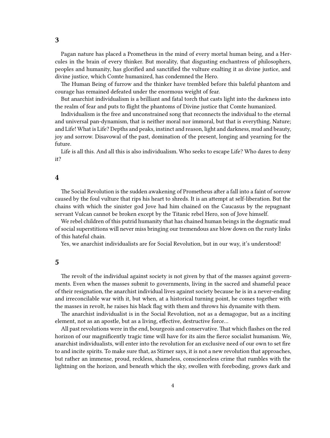Pagan nature has placed a Prometheus in the mind of every mortal human being, and a Hercules in the brain of every thinker. But morality, that disgusting enchantress of philosophers, peoples and humanity, has glorified and sanctified the vulture exalting it as divine justice, and divine justice, which Comte humanized, has condemned the Hero.

The Human Being of furrow and the thinker have trembled before this baleful phantom and courage has remained defeated under the enormous weight of fear.

But anarchist individualism is a brilliant and fatal torch that casts light into the darkness into the realm of fear and puts to flight the phantoms of Divine justice that Comte humanized.

Individualism is the free and unconstrained song that reconnects the individual to the eternal and universal pan-dynamism, that is neither moral nor immoral, but that is everything. Nature; and Life! What is Life? Depths and peaks, instinct and reason, light and darkness, mud and beauty, joy and sorrow. Disavowal of the past, domination of the present, longing and yearning for the future.

Life is all this. And all this is also individualism. Who seeks to escape Life? Who dares to deny it?

### <span id="page-3-1"></span>**4**

The Social Revolution is the sudden awakening of Prometheus after a fall into a faint of sorrow caused by the foul vulture that rips his heart to shreds. It is an attempt at self-liberation. But the chains with which the sinister god Jove had him chained on the Caucasus by the repugnant servant Vulcan cannot be broken except by the Titanic rebel Hero, son of Jove himself.

We rebel children of this putrid humanity that has chained human beings in the dogmatic mud of social superstitions will never miss bringing our tremendous axe blow down on the rusty links of this hateful chain.

Yes, we anarchist individualists are for Social Revolution, but in our way, it's understood!

#### <span id="page-3-2"></span>**5**

The revolt of the individual against society is not given by that of the masses against governments. Even when the masses submit to governments, living in the sacred and shameful peace of their resignation, the anarchist individual lives against society because he is in a never-ending and irreconcilable war with it, but when, at a historical turning point, he comes together with the masses in revolt, he raises his black flag with them and throws his dynamite with them.

The anarchist individualist is in the Social Revolution, not as a demagogue, but as a inciting element, not as an apostle, but as a living, effective, destructive force…

All past revolutions were in the end, bourgeois and conservative. That which flashes on the red horizon of our magnificently tragic time will have for its aim the fierce socialist humanism. We, anarchist individualists, will enter into the revolution for an exclusive need of our own to set fire to and incite spirits. To make sure that, as Stirner says, it is not a new revolution that approaches, but rather an immense, proud, reckless, shameless, conscienceless crime that rumbles with the lightning on the horizon, and beneath which the sky, swollen with foreboding, grows dark and

<span id="page-3-0"></span>**3**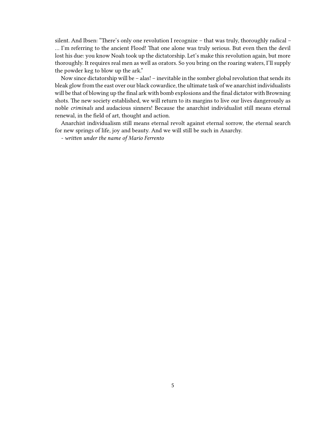silent. And Ibsen: "There's only one revolution I recognize – that was truly, thoroughly radical – … I'm referring to the ancient Flood! That one alone was truly serious. But even then the devil lost his due: you know Noah took up the dictatorship. Let's make this revolution again, but more thoroughly. It requires real men as well as orators. So you bring on the roaring waters, I'll supply the powder keg to blow up the ark."

Now since dictatorship will be – alas! – inevitable in the somber global revolution that sends its bleak glow from the east over our black cowardice, the ultimate task of we anarchist individualists will be that of blowing up the final ark with bomb explosions and the final dictator with Browning shots. The new society established, we will return to its margins to live our lives dangerously as noble *criminals* and audacious sinners! Because the anarchist individualist still means eternal renewal, in the field of art, thought and action.

Anarchist individualism still means eternal revolt against eternal sorrow, the eternal search for new springs of life, joy and beauty. And we will still be such in Anarchy.

*- written under the name of Mario Ferrento*